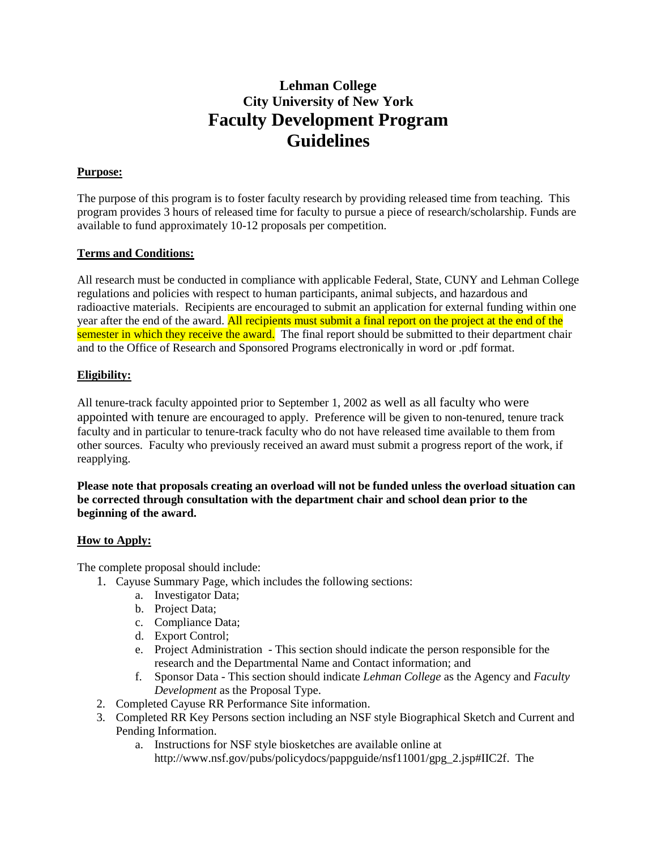# **Lehman College City University of New York Faculty Development Program Guidelines**

## **Purpose:**

The purpose of this program is to foster faculty research by providing released time from teaching. This program provides 3 hours of released time for faculty to pursue a piece of research/scholarship. Funds are available to fund approximately 10-12 proposals per competition.

## **Terms and Conditions:**

All research must be conducted in compliance with applicable Federal, State, CUNY and Lehman College regulations and policies with respect to human participants, animal subjects, and hazardous and radioactive materials. Recipients are encouraged to submit an application for external funding within one year after the end of the award. All recipients must submit a final report on the project at the end of the semester in which they receive the award. The final report should be submitted to their department chair and to the Office of Research and Sponsored Programs electronically in word or .pdf format.

### **Eligibility:**

All tenure-track faculty appointed prior to September 1, 2002 as well as all faculty who were appointed with tenure are encouraged to apply. Preference will be given to non-tenured, tenure track faculty and in particular to tenure-track faculty who do not have released time available to them from other sources. Faculty who previously received an award must submit a progress report of the work, if reapplying.

**Please note that proposals creating an overload will not be funded unless the overload situation can be corrected through consultation with the department chair and school dean prior to the beginning of the award.**

#### **How to Apply:**

The complete proposal should include:

- 1. Cayuse Summary Page, which includes the following sections:
	- a. Investigator Data;
	- b. Project Data;
	- c. Compliance Data;
	- d. Export Control;
	- e. Project Administration This section should indicate the person responsible for the research and the Departmental Name and Contact information; and
	- f. Sponsor Data This section should indicate *Lehman College* as the Agency and *Faculty Development* as the Proposal Type.
- 2. Completed Cayuse RR Performance Site information.
- 3. Completed RR Key Persons section including an NSF style Biographical Sketch and Current and Pending Information.
	- a. Instructions for NSF style biosketches are available online at http://www.nsf.gov/pubs/policydocs/pappguide/nsf11001/gpg\_2.jsp#IIC2f. The